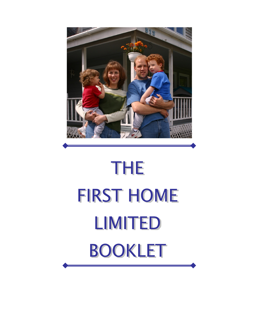

# **THE FIRST HOME LIMITED BOOKLET**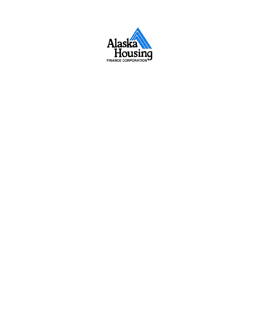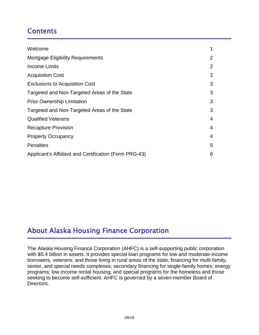## **Contents**

| Welcome                                               | 1 |
|-------------------------------------------------------|---|
| <b>Mortgage Eligibility Requirements</b>              | 2 |
| Income Limits                                         | 2 |
| <b>Acquisition Cost</b>                               | 2 |
| <b>Exclusions to Acquisition Cost</b>                 | 3 |
| Targeted and Non-Targeted Areas of the State          | 3 |
| <b>Prior Ownership Limitation</b>                     | 3 |
| Targeted and Non-Targeted Areas of the State          | 3 |
| <b>Qualified Veterans</b>                             | 4 |
| <b>Recapture Provision</b>                            | 4 |
| <b>Property Occupancy</b>                             | 4 |
| <b>Penalties</b>                                      | 5 |
| Applicant's Affidavit and Certification (Form PRG-43) | 6 |

# About Alaska Housing Finance Corporation

The Alaska Housing Finance Corporation (AHFC) is a self-supporting public corporation with \$5.4 billion in assets. It provides special loan programs for low and moderate-income borrowers, veterans, and those living in rural areas of the state; financing for multi-family, senior, and special needs complexes; secondary financing for single-family homes; energy programs; low income rental housing; and special programs for the homeless and those seeking to become self-sufficient. AHFC is governed by a seven-member Board of Directors.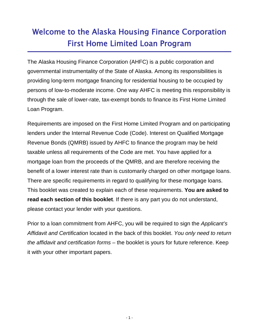# Welcome to the Alaska Housing Finance Corporation First Home Limited Loan Program

The Alaska Housing Finance Corporation (AHFC) is a public corporation and governmental instrumentality of the State of Alaska. Among its responsibilities is providing long-term mortgage financing for residential housing to be occupied by persons of low-to-moderate income. One way AHFC is meeting this responsibility is through the sale of lower-rate, tax-exempt bonds to finance its First Home Limited Loan Program.

Requirements are imposed on the First Home Limited Program and on participating lenders under the Internal Revenue Code (Code). Interest on Qualified Mortgage Revenue Bonds (QMRB) issued by AHFC to finance the program may be held taxable unless all requirements of the Code are met. You have applied for a mortgage loan from the proceeds of the QMRB, and are therefore receiving the benefit of a lower interest rate than is customarily charged on other mortgage loans. There are specific requirements in regard to qualifying for these mortgage loans. This booklet was created to explain each of these requirements. **You are asked to read each section of this booklet**. If there is any part you do not understand, please contact your lender with your questions.

Prior to a loan commitment from AHFC, you will be required to sign the *Applicant's Affidavit and Certification* located in the back of this booklet. *You only need to return the affidavit and certification forms* – the booklet is yours for future reference. Keep it with your other important papers.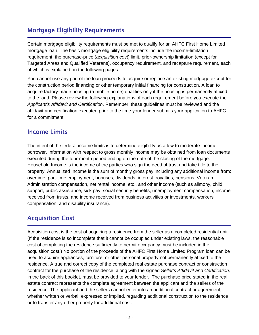### Mortgage Eligibility Requirements

Certain mortgage eligibility requirements must be met to qualify for an AHFC First Home Limited mortgage loan. The basic mortgage eligibility requirements include the income-limitation requirement, the purchase-price (*acquisition cost*) limit, prior-ownership limitation (except for Targeted Areas and Qualified Veterans), occupancy requirement, and recapture requirement, each of which is explained on the following pages.

You cannot use any part of the loan proceeds to acquire or replace an existing mortgage except for the construction period financing or other temporary initial financing for construction. A loan to acquire factory-made housing (a mobile home) qualifies only if the housing is permanently affixed to the land. Please review the following explanations of each requirement before you execute the *Applicant's Affidavit and Certification*. Remember, these guidelines must be reviewed and the affidavit and certification executed prior to the time your lender submits your application to AHFC for a commitment.

#### Income Limits

The intent of the federal income limits is to determine eligibility as a low to moderate-income borrower. Information with respect to gross monthly income may be obtained from loan documents executed during the four-month period ending on the date of the closing of the mortgage. Household Income is the income of the parties who sign the deed of trust and take title to the property. Annualized Income is the sum of monthly gross pay including any additional income from: overtime, part-time employment, bonuses, dividends, interest, royalties, pensions, Veteran Administration compensation, net rental income, etc., and other income (such as alimony, child support, public assistance, sick pay, social security benefits, unemployment compensation, income received from trusts, and income received from business activities or investments, workers compensation, and disability insurance).

#### Acquisition Cost

Acquisition cost is the cost of acquiring a residence from the seller as a completed residential unit. (If the residence is so incomplete that it cannot be occupied under existing laws, the reasonable cost of completing the residence sufficiently to permit occupancy must be included in the acquisition cost.) No portion of the proceeds of the AHFC First Home Limited Program loan can be used to acquire appliances, furniture, or other personal property not permanently affixed to the residence. A true and correct copy of the completed real estate purchase contract or construction contract for the purchase of the residence, along with the signed *Seller's Affidavit and Certification,* in the back of this booklet, must be provided to your lender. The purchase price stated in the real estate contract represents the complete agreement between the applicant and the sellers of the residence. The applicant and the sellers cannot enter into an additional contract or agreement, whether written or verbal, expressed or implied, regarding additional construction to the residence or to transfer any other property for additional cost.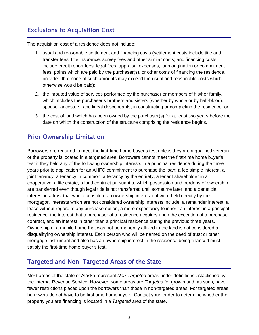# Exclusions to Acquisition Cost

The acquisition cost of a residence does not include:

- 1. usual and reasonable settlement and financing costs (settlement costs include title and transfer fees, title insurance, survey fees and other similar costs; and financing costs include credit report fees, legal fees, appraisal expenses, loan origination or commitment fees, points which are paid by the purchaser(s), or other costs of financing the residence, provided that none of such amounts may exceed the usual and reasonable costs which otherwise would be paid);
- 2. the imputed value of services performed by the purchaser or members of his/her family, which includes the purchaser's brothers and sisters (whether by whole or by half-blood), spouse, ancestors, and lineal descendants, in constructing or completing the residence: or
- 3. the cost of land which has been owned by the purchaser(s) for at least two years before the date on which the construction of the structure comprising the residence begins.

#### Prior Ownership Limitation

Borrowers are required to meet the first-time home buyer's test unless they are a qualified veteran or the property is located in a targeted area. Borrowers cannot meet the first-time home buyer's test if they held any of the following ownership interests in a principal residence during the three years prior to application for an AHFC commitment to purchase the loan: a fee simple interest, a joint tenancy, a tenancy in common, a tenancy by the entirety, a tenant shareholder in a cooperative, a life estate, a land contract pursuant to which possession and burdens of ownership are transferred even though legal title is not transferred until sometime later, and a beneficial interest in a trust that would constitute an ownership interest if it were held directly by the mortgagor. Interests which are not considered ownership interests include: a remainder interest, a lease without regard to any purchase option, a mere expectancy to inherit an interest in a principal residence, the interest that a purchaser of a residence acquires upon the execution of a purchase contract, and an interest in other than a principal residence during the previous three years. Ownership of a mobile home that was not permanently affixed to the land is not considered a disqualifying ownership interest. Each person who will be named on the deed of trust or other mortgage instrument and also has an ownership interest in the residence being financed must satisfy the first-time home buyer's test.

#### Targeted and Non-Targeted Areas of the State

Most areas of the state of Alaska represent *Non-Targeted* areas under definitions established by the Internal Revenue Service. However, some areas are *Targeted* for growth and, as such, have fewer restrictions placed upon the borrowers than those in non-targeted areas. For targeted areas, borrowers do not have to be first-time homebuyers. Contact your lender to determine whether the property you are financing is located in a *Targeted* area of the state.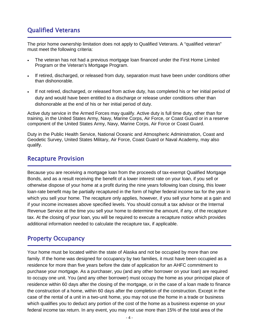### Qualified Veterans

The prior home ownership limitation does not apply to Qualified Veterans. A "qualified veteran" must meet the following criteria:

- The veteran has not had a previous mortgage loan financed under the First Home Limited Program or the Veteran's Mortgage Program.
- If retired, discharged, or released from duty, separation must have been under conditions other than dishonorable.
- If not retired, discharged, or released from active duty, has completed his or her initial period of duty and would have been entitled to a discharge or release under conditions other than dishonorable at the end of his or her initial period of duty.

Active duty service in the Armed Forces may qualify. Active duty is full time duty, other than for training, in the United States Army, Navy, Marine Corps, Air Force, or Coast Guard or in a reserve component of the United States Army, Navy, Marine Corps, Air Force or Coast Guard.

Duty in the Public Health Service, National Oceanic and Atmospheric Administration, Coast and Geodetic Survey, United States Military, Air Force, Coast Guard or Naval Academy, may also qualify.

#### Recapture Provision

Because you are receiving a mortgage loan from the proceeds of tax-exempt Qualified Mortgage Bonds, and as a result receiving the benefit of a lower interest rate on your loan, if you sell or otherwise dispose of your home at a profit during the nine years following loan closing, this lower loan-rate benefit may be partially recaptured in the form of higher federal income tax for the year in which you sell your home. The recapture only applies, however, if you sell your home at a gain and if your income increases above specified levels. You should consult a tax advisor or the Internal Revenue Service at the time you sell your home to determine the amount, if any, of the recapture tax. At the closing of your loan, you will be required to execute a recapture notice which provides additional information needed to calculate the recapture tax, if applicable.

#### Property Occupancy

Your home must be located within the state of Alaska and not be occupied by more than one family. If the home was designed for occupancy by two families, it must have been occupied as a residence for more than five years before the date of application for an AHFC commitment to purchase your mortgage. As a purchaser, you (and any other borrower on your loan) are required to occupy one unit. You (and any other borrower) must occupy the home as your principal place of residence within 60 days after the closing of the mortgage, or in the case of a loan made to finance the construction of a home, within 60 days after the completion of the construction. Except in the case of the rental of a unit in a two-unit home, you may not use the home in a trade or business which qualifies you to deduct any portion of the cost of the home as a business expense on your federal income tax return. In any event, you may not use more than 15% of the total area of the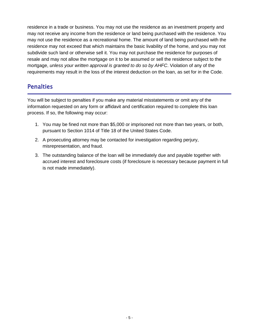residence in a trade or business. You may not use the residence as an investment property and may not receive any income from the residence or land being purchased with the residence. You may not use the residence as a recreational home. The amount of land being purchased with the residence may not exceed that which maintains the basic livability of the home, and you may not subdivide such land or otherwise sell it. You may not purchase the residence for purposes of resale and may not allow the mortgage on it to be assumed or sell the residence subject to the mortgage, *unless your written approval is granted to do so by AHFC*. Violation of any of the requirements may result in the loss of the interest deduction on the loan, as set for in the Code.

#### **Penalties**

You will be subject to penalties if you make any material misstatements or omit any of the information requested on any form or affidavit and certification required to complete this loan process. If so, the following may occur:

- 1. You may be fined not more than \$5,000 or imprisoned not more than two years, or both, pursuant to Section 1014 of Title 18 of the United States Code.
- 2. A prosecuting attorney may be contacted for investigation regarding perjury, misrepresentation, and fraud.
- 3. The outstanding balance of the loan will be immediately due and payable together with accrued interest and foreclosure costs (if foreclosure is necessary because payment in full is not made immediately).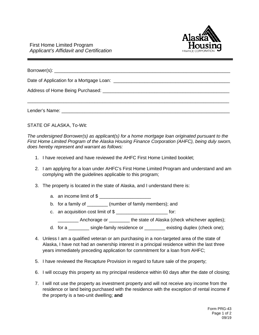

| Lender's Name: University of the Second Lender's Name: |
|--------------------------------------------------------|

STATE OF ALASKA, To-Wit:

*The undersigned Borrower(s) as applicant(s) for a home mortgage loan originated pursuant to the First Home Limited Program of the Alaska Housing Finance Corporation (AHFC), being duly sworn, does hereby represent and warrant as follows:*

- 1. I have received and have reviewed the AHFC First Home Limited booklet;
- 2. I am applying for a loan under AHFC's First Home Limited Program and understand and am complying with the guidelines applicable to this program;
- 3. The property is located in the state of Alaska, and I understand there is:
	- a. an income limit of \$
	- b. for a family of  $\qquad \qquad$  (number of family members); and
	- c. an acquisition cost limit of  $\frac{1}{2}$  \_\_\_\_\_\_\_\_\_\_\_\_\_\_\_\_\_\_\_\_\_\_\_\_\_\_\_\_\_\_ for:
		- \_\_\_\_\_\_\_\_ Anchorage or \_\_\_\_\_\_\_\_ the state of Alaska (check whichever applies);
	- d. for a \_\_\_\_\_\_\_\_ single-family residence or \_\_\_\_\_\_\_\_ existing duplex (check one);
- 4. Unless I am a qualified veteran or am purchasing in a non-targeted area of the state of Alaska, I have not had an ownership interest in a principal residence within the last three years immediately preceding application for commitment for a loan from AHFC;
- 5. I have reviewed the Recapture Provision in regard to future sale of the property;
- 6. I will occupy this property as my principal residence within 60 days after the date of closing;
- 7. I will not use the property as investment property and will not receive any income from the residence or land being purchased with the residence with the exception of rental income if the property is a two-unit dwelling; **and**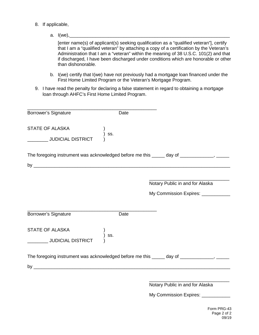- 8. If applicable,
	- a.  $I(we)$ ,

[enter name(s) of applicant(s) seeking qualification as a "qualified veteran"], certify that I am a "qualified veteran" by attaching a copy of a certification by the Veteran's Administration that I am a "veteran" within the meaning of 38 U.S.C. 101(2) and that if discharged, I have been discharged under conditions which are honorable or other than dishonorable.

- b. I(we) certify that I(we) have not previously had a mortgage loan financed under the First Home Limited Program or the Veteran's Mortgage Program.
- 9. I have read the penalty for declaring a false statement in regard to obtaining a mortgage loan through AHFC's First Home Limited Program.

| Borrower's Signature<br>Date                                                               |                                                                       |
|--------------------------------------------------------------------------------------------|-----------------------------------------------------------------------|
| <b>STATE OF ALASKA</b><br>SS.<br><b>WEIGHT STATE</b> JUDICIAL DISTRICT                     |                                                                       |
| The foregoing instrument was acknowledged before me this _____ day of ____________, ______ |                                                                       |
|                                                                                            | Notary Public in and for Alaska<br>My Commission Expires: ___________ |
| Borrower's Signature<br>Date                                                               |                                                                       |
| <b>STATE OF ALASKA</b><br>SS.<br>JUDICIAL DISTRICT                                         |                                                                       |
| The foregoing instrument was acknowledged before me this _____ day of ____________, ______ |                                                                       |
|                                                                                            |                                                                       |
|                                                                                            | Notary Public in and for Alaska<br>My Commission Expires: _________   |